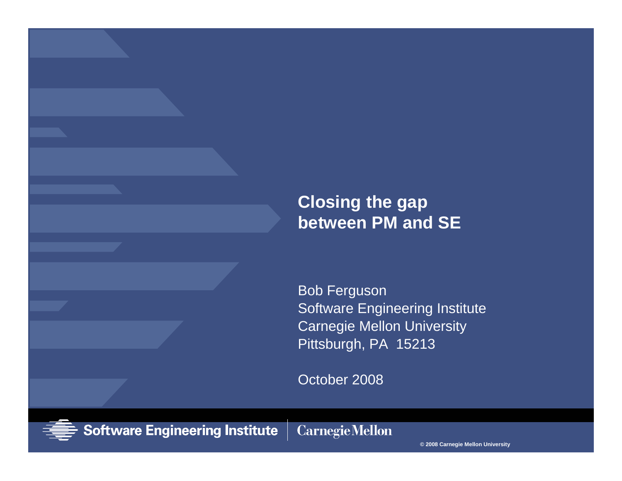#### **Closing the gap between PM and SE**

Bob Ferguson Software Engineering Institute Carnegie Mellon University Pittsburgh, PA 15213

October 2008

**Carnegie Mellon** 



**Software Engineering Institute** 

**© 2008 Carnegie Mellon University**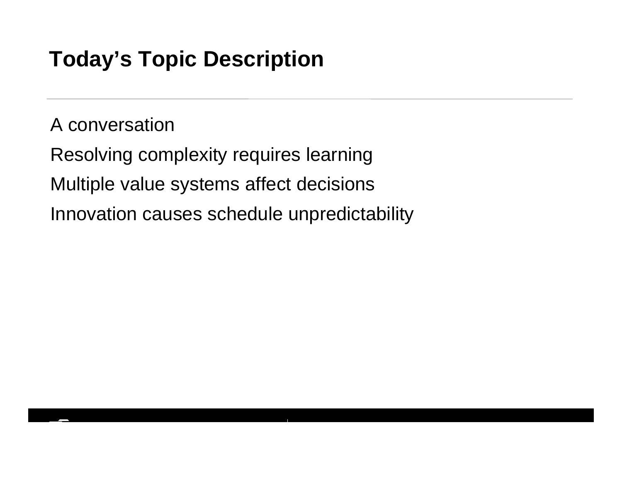# **Today's Topic Description**

A conversation

Resolving complexity requires learning Multiple value systems affect decisions Innovation causes schedule unpredictability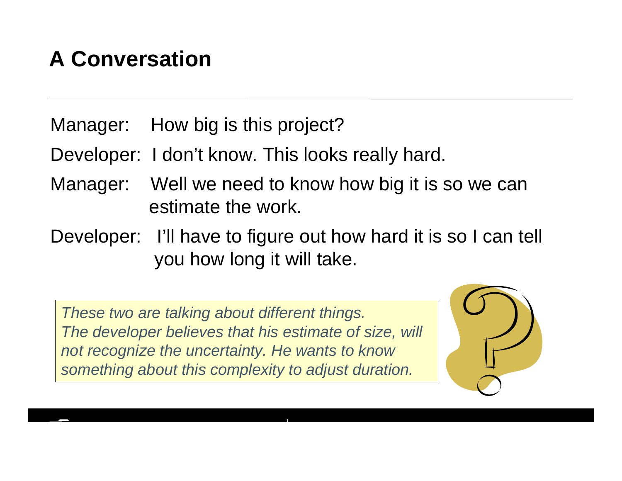# **A Conversation**

Manager: How big is this project?

Developer: I don't know. This looks really hard.

- Manager: Well we need to know how big it is so we can estimate the work.
- Developer: I'll have to figure out how hard it is so I can tell you how long it will take.

*These two are talking about different things. The developer believes that his estimate of size, will not recognize the uncertainty. He wants to know something about this complexity to adjust duration.*

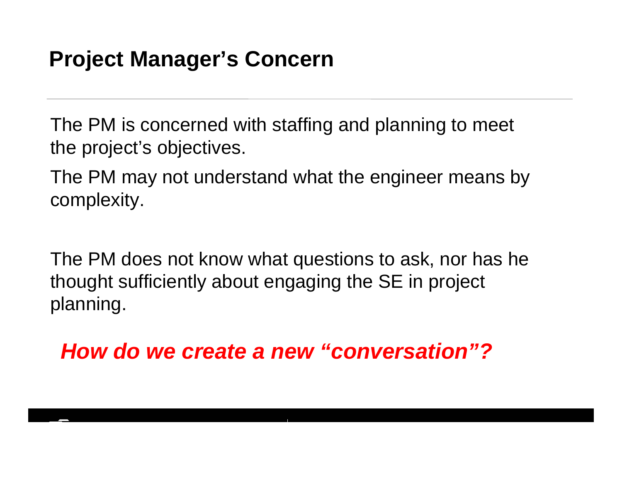# **Project Manager's Concern**

The PM is concerned with staffing and planning to meet the project's objectives.

The PM may not understand what the engineer means by complexity.

The PM does not know what questions to ask, nor has he thought sufficiently about engaging the SE in project planning.

*How do we create a new "conversation"?*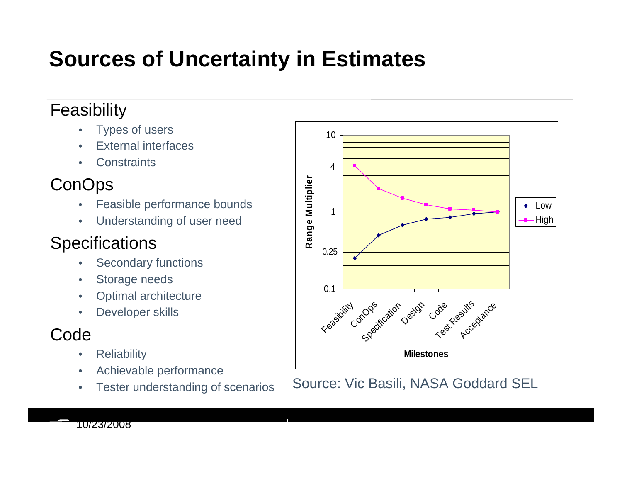# **Sources of Uncertainty in Estimates**

#### Feasibility

- •Types of users
- •External interfaces
- •**Constraints**

## **ConOps**

- •Feasible performance bounds
- •Understanding of user need

#### **Specifications**

- •Secondary functions
- •Storage needs
- •Optimal architecture
- •Developer skills

## Code

- •**Reliability**
- •Achievable performance
- •Tester understanding of scenarios



Source: Vic Basili, NASA Goddard SEL

10/23/2008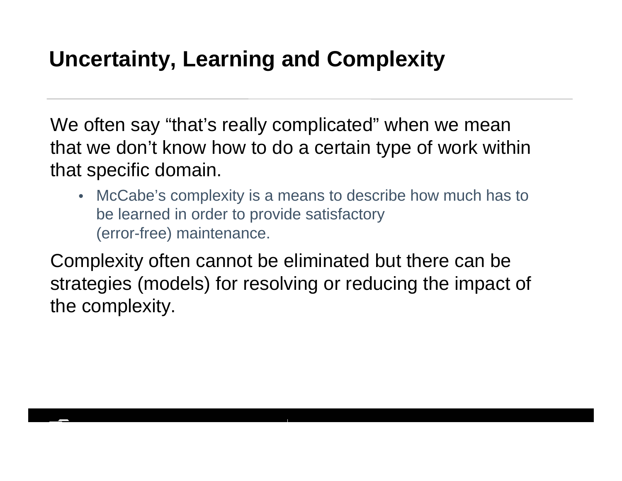# **Uncertainty, Learning and Complexity**

We often say "that's really complicated" when we mean that we don't know how to do a certain type of work within that specific domain.

• McCabe's complexity is a means to describe how much has to be learned in order to provide satisfactory (error-free) maintenance.

Complexity often cannot be eliminated but there can be strategies (models) for resolving or reducing the impact of the complexity.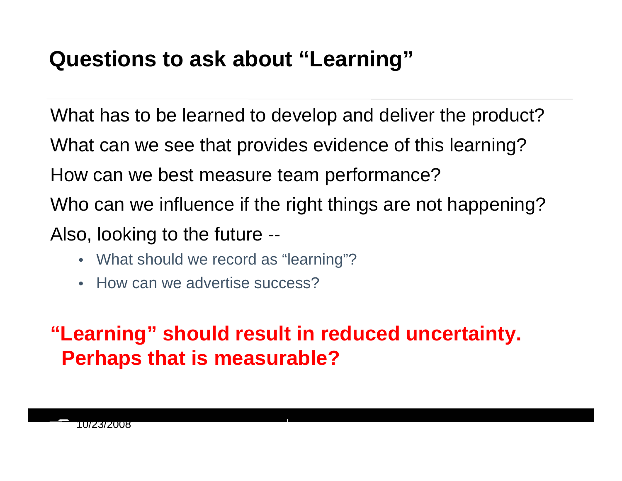# **Questions to ask about "Learning"**

What has to be learned to develop and deliver the product? What can we see that provides evidence of this learning? How can we best measure team performance? Who can we influence if the right things are not happening? Also, looking to the future --

- What should we record as "learning"?
- How can we advertise success?

**"Learning" should result in reduced uncertainty. Perhaps that is measurable?**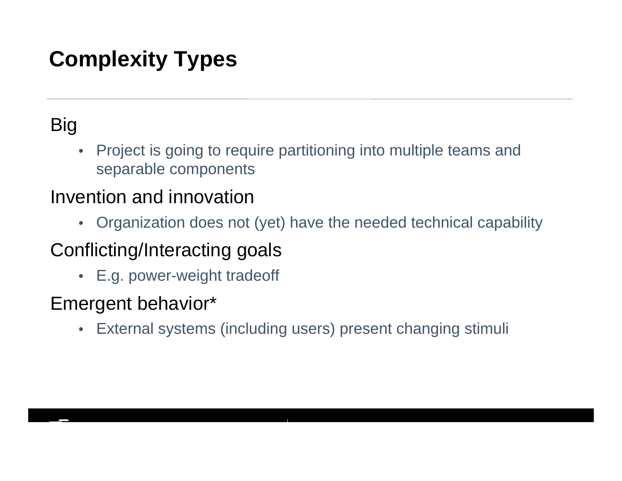# **Complexity Types**

# Big

• Project is going to require partitioning into multiple teams and separable components

## Invention and innovation

• Organization does not (yet) have the needed technical capability

## Conflicting/Interacting goals

• E.g. power-weight tradeoff

## Emergent behavior\*

•External systems (including users) present changing stimuli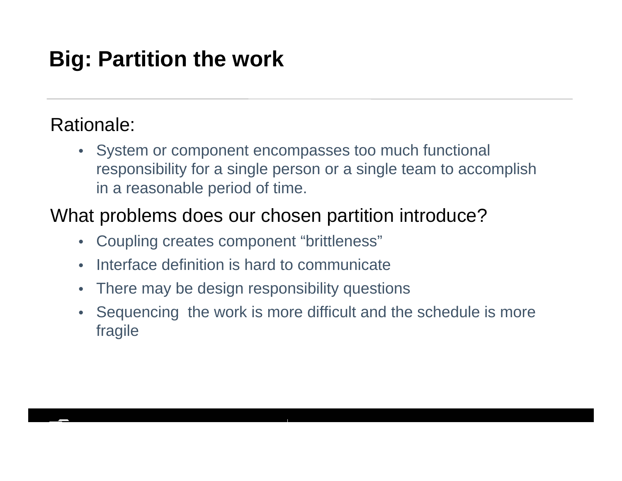# **Big: Partition the work**

## Rationale:

• System or component encompasses too much functional responsibility for a single person or a single team to accomplish in a reasonable period of time.

## What problems does our chosen partition introduce?

- Coupling creates component "brittleness"
- $\bullet$ Interface definition is hard to communicate
- $\bullet$ There may be design responsibility questions
- $\bullet$  Sequencing the work is more difficult and the schedule is more fragile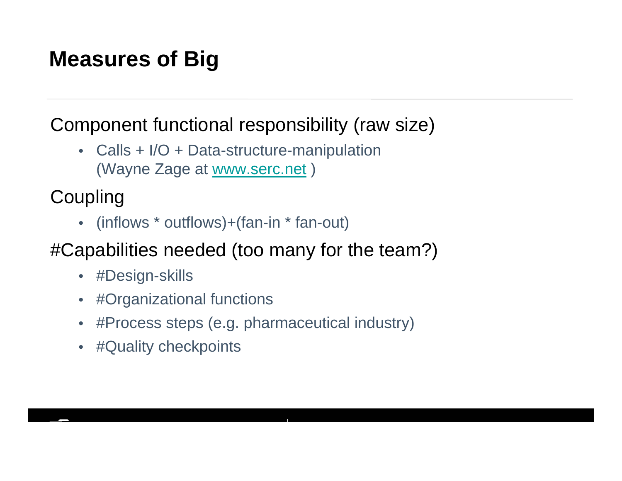# **Measures of Big**

## Component functional responsibility (raw size)

• Calls + I/O + Data-structure-manipulation (Wayne Zage at www.serc.net )

**Coupling** 

• (inflows \* outflows)+(fan-in \* fan-out)

## #Capabilities needed (too many for the team?)

- #Design-skills
- #Organizational functions
- #Process steps (e.g. pharmaceutical industry)
- #Quality checkpoints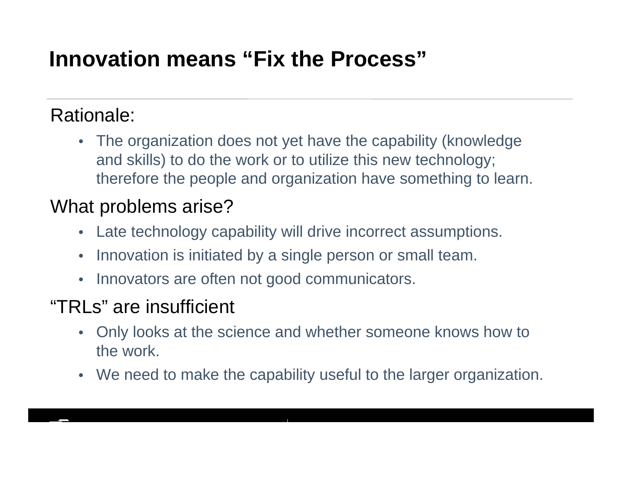# **Innovation means "Fix the Process"**

## Rationale:

• The organization does not yet have the capability (knowledge and skills) to do the work or to utilize this new technology; therefore the people and organization have something to learn.

### What problems arise?

- Late technology capability will drive incorrect assumptions.
- $\bullet$ Innovation is initiated by a single person or small team.
- Innovators are often not good communicators.

## "TRLs" are insufficient

- Only looks at the science and whether someone knows how to the work.
- We need to make the capability useful to the larger organization.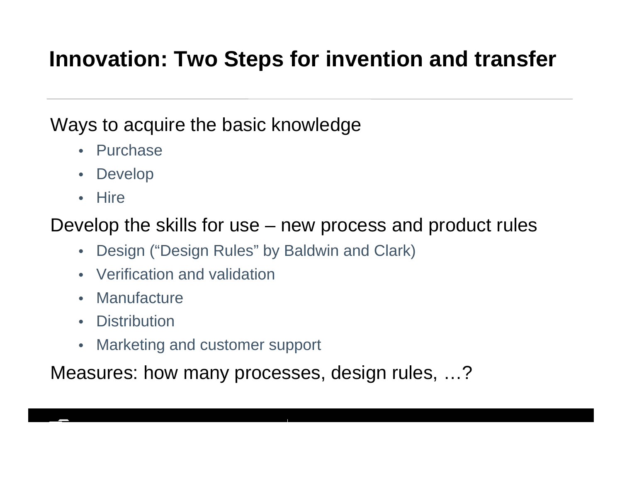# **Innovation: Two Steps for invention and transfer**

### Ways to acquire the basic knowledge

- Purchase
- Develop
- Hire

Develop the skills for use – new process and product rules

- Design ("Design Rules" by Baldwin and Clark)
- Verification and validation
- Manufacture
- Distribution
- Marketing and customer support

Measures: how many processes, design rules, …?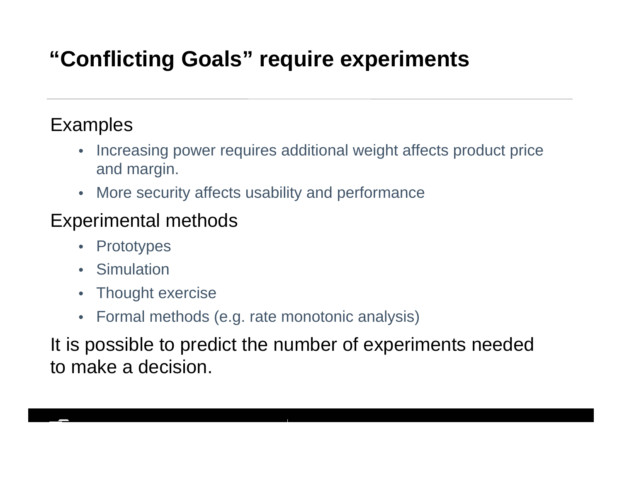# **"Conflicting Goals" require experiments**

## **Examples**

- $\bullet$  Increasing power requires additional weight affects product price and margin.
- More security affects usability and performance

## Experimental methods

- $\bullet$ **Prototypes**
- Simulation
- $\bullet$ Thought exercise
- Formal methods (e.g. rate monotonic analysis)

It is possible to predict the number of experiments needed to make a decision.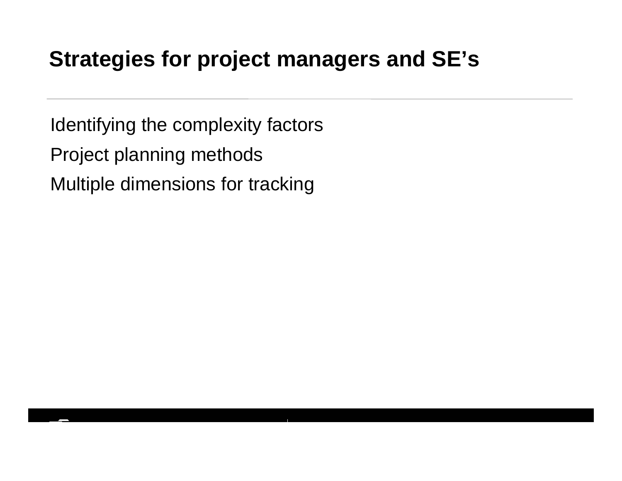# **Strategies for project managers and SE's**

Identifying the complexity factors Project planning methods Multiple dimensions for tracking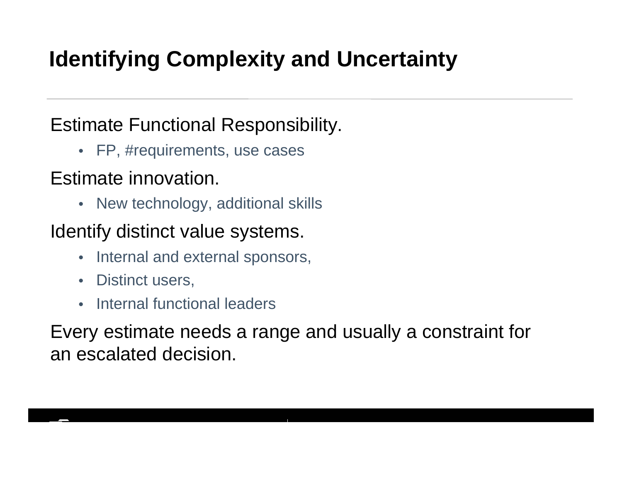# **Identifying Complexity and Uncertainty**

## Estimate Functional Responsibility.

• FP, #requirements, use cases

## Estimate innovation.

• New technology, additional skills

## Identify distinct value systems.

- Internal and external sponsors,
- •Distinct users,
- •Internal functional leaders

Every estimate needs a range and usually a constraint for an escalated decision.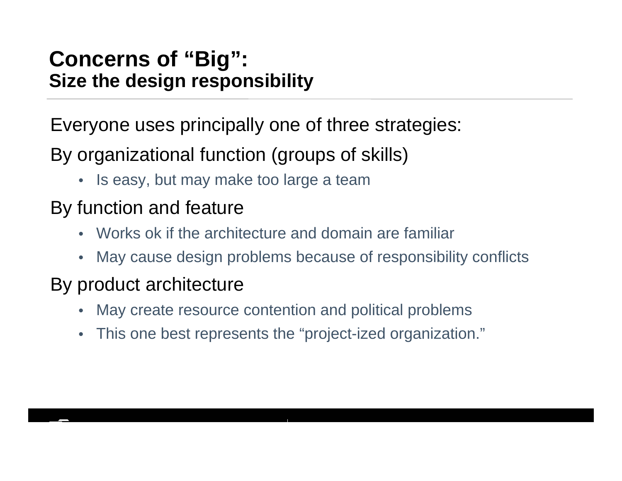## **Concerns of "Big": Size the design responsibility**

Everyone uses principally one of three strategies:

By organizational function (groups of skills)

• Is easy, but may make too large a team

## By function and feature

- •Works ok if the architecture and domain are familiar
- May cause design problems because of responsibility conflicts

## By product architecture

- •May create resource contention and political problems
- $\bullet$ This one best represents the "project-ized organization."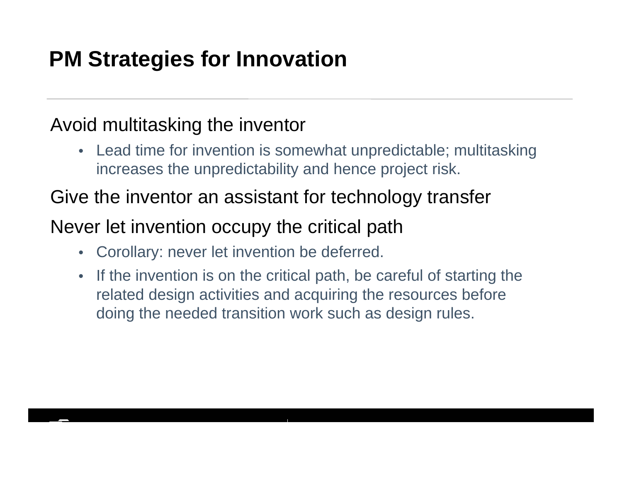# **PM Strategies for Innovation**

## Avoid multitasking the inventor

• Lead time for invention is somewhat unpredictable; multitasking increases the unpredictability and hence project risk.

### Give the inventor an assistant for technology transfer

## Never let invention occupy the critical path

- Corollary: never let invention be deferred.
- $\bullet$  If the invention is on the critical path, be careful of starting the related design activities and acquiring the resources before doing the needed transition work such as design rules.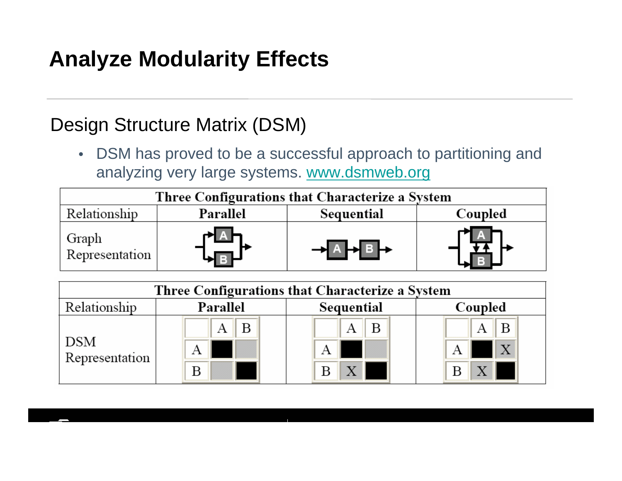# **Analyze Modularity Effects**

## Design Structure Matrix (DSM)

• DSM has proved to be a successful approach to partitioning and analyzing very large systems. www.dsmweb.org

| Three Configurations that Characterize a System |          |            |         |  |  |
|-------------------------------------------------|----------|------------|---------|--|--|
| Relationship                                    | Parallel | Sequential | Coupled |  |  |
| Graph<br>Representation                         |          |            |         |  |  |

| Three Configurations that Characterize a System |          |            |              |  |  |
|-------------------------------------------------|----------|------------|--------------|--|--|
| Relationship                                    | Parallel | Sequential | Coupled      |  |  |
| DSM<br>Representation                           |          | В          | B            |  |  |
|                                                 | A        | А          | $\mathbf{X}$ |  |  |
|                                                 | В        |            |              |  |  |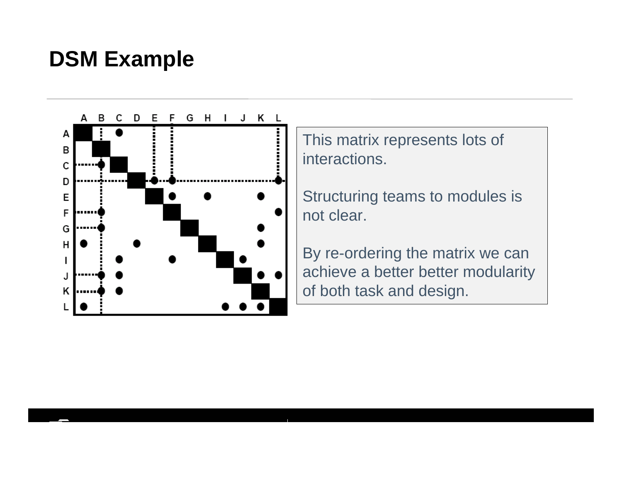# **DSM Example**



This matrix represents lots of interactions.

Structuring teams to modules is not clear.

By re-ordering the matrix we can achieve a better better modularity of both task and design.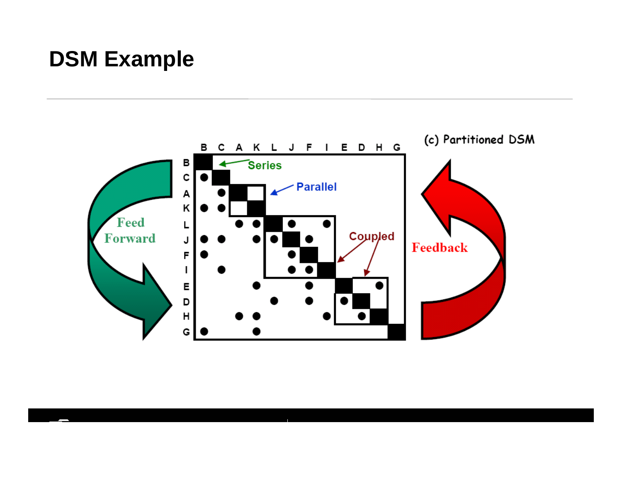# **DSM Example**

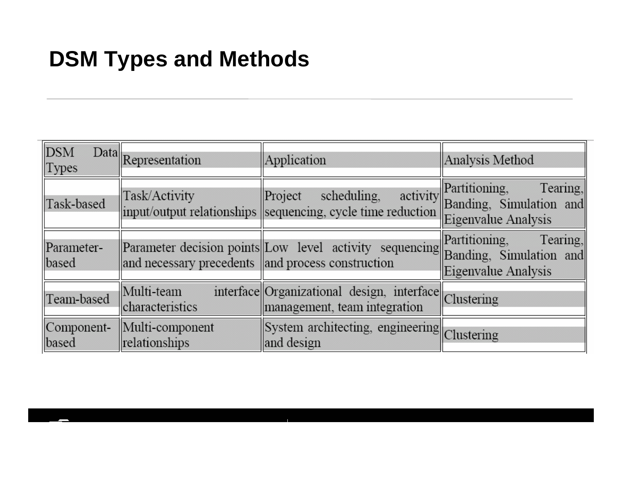# **DSM Types and Methods**

| DSM<br> Types       | Data Representation                               | Application                                                                                               | Analysis Method                 |
|---------------------|---------------------------------------------------|-----------------------------------------------------------------------------------------------------------|---------------------------------|
| Task-based          | Task/Activity                                     | scheduling,<br>Project<br>input/output relationships sequencing, cycle time reduction Eigenvalue Analysis | activity Partitioning, Tearing, |
| Parameter-<br>based | and necessary precedents and process construction | Parameter decision points Low level activity sequencing Banding, Simulation and                           | Eigenvalue Analysis             |
| Team-based          | Multi-team<br>characteristics                     | interface Organizational design, interface Clustering<br>management, team integration                     |                                 |
| Component-<br>based | Multi-component<br>relationships                  | System architecting, engineering Clustering<br>and design                                                 |                                 |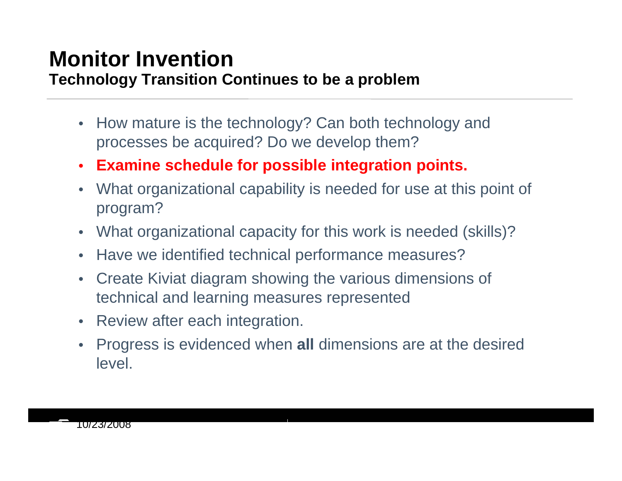#### **Monitor InventionTechnology Transition Continues to be a problem**

- $\bullet$  How mature is the technology? Can both technology and processes be acquired? Do we develop them?
- $\bullet$ **Examine schedule for possible integration points.**
- $\bullet$  What organizational capability is needed for use at this point of program?
- $\bullet$ What organizational capacity for this work is needed (skills)?
- $\bullet$ Have we identified technical performance measures?
- $\bullet$  Create Kiviat diagram showing the various dimensions of technical and learning measures represented
- Review after each integration.
- $\bullet$  Progress is evidenced when **all** dimensions are at the desired level.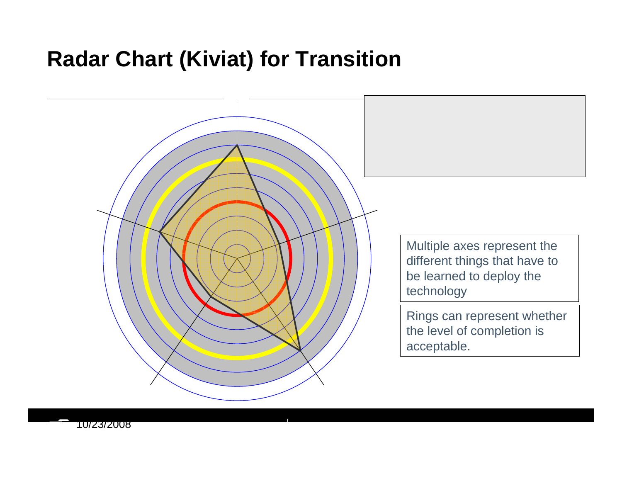# **Radar Chart (Kiviat) for Transition**



10/23/2008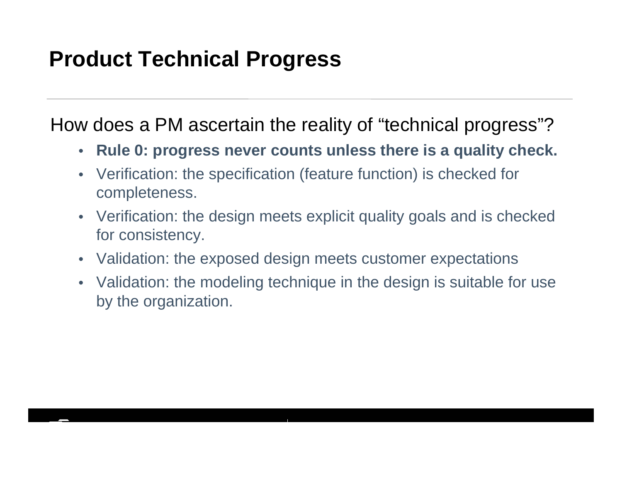# **Product Technical Progress**

How does a PM ascertain the reality of "technical progress"?

- **Rule 0: progress never counts unless there is a quality check.**
- Verification: the specification (feature function) is checked for completeness.
- Verification: the design meets explicit quality goals and is checked for consistency.
- Validation: the exposed design meets customer expectations
- Validation: the modeling technique in the design is suitable for use by the organization.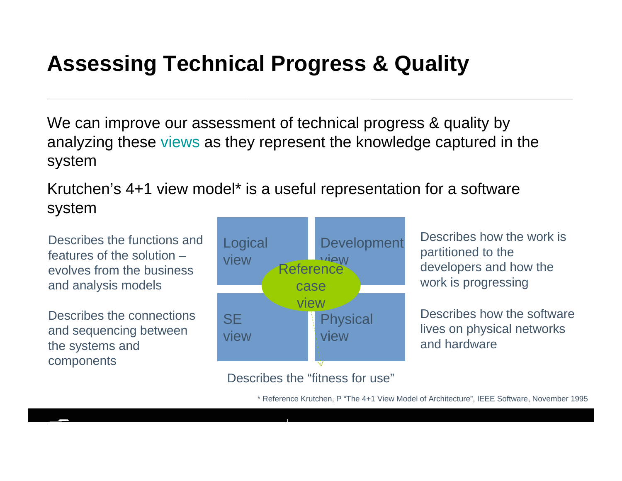# **Assessing Technical Progress & Quality**

We can improve our assessment of technical progress & quality by analyzing these views as they represent the knowledge captured in the system

Krutchen's 4+1 view model\* is a useful representation for a software system

Describes the functions and features of the solution –evolves from the business and analysis models

Describes the connections and sequencing between the systems and components



Describes how the work is partitioned to the developers and how the work is progressing

Describes how the software lives on physical networks and hardware

#### Describes the "fitness for use"

\* Reference Krutchen, P "The 4+1 View Model of Architecture", IEEE Software, November 1995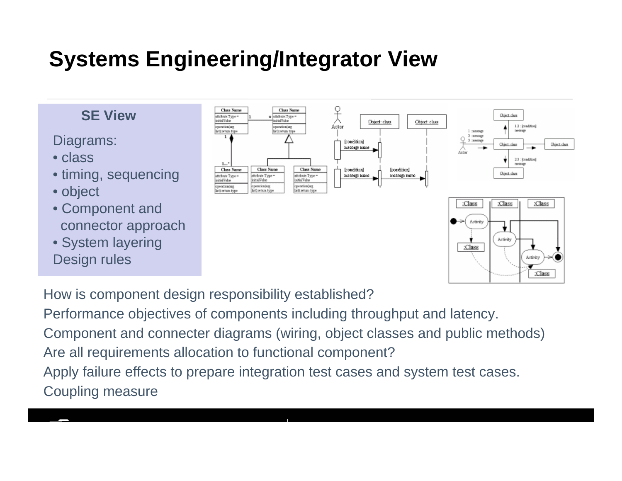# **Systems Engineering/Integrator View**

#### **SE View**

Diagrams:

- class
- timing, sequencing
- object
- Component and connector approach
- System layering Design rules



How is component design responsibility established?

Performance objectives of components including throughput and latency.

Component and connecter diagrams (wiring, object classes and public methods) Are all requirements allocation to functional component?

Apply failure effects to prepare integration test cases and system test cases. Coupling measure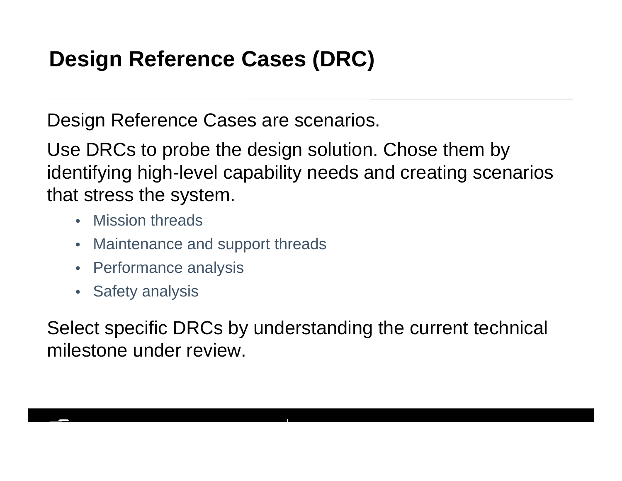# **Design Reference Cases (DRC)**

Design Reference Cases are scenarios.

Use DRCs to probe the design solution. Chose them by identifying high-level capability needs and creating scenarios that stress the system.

- Mission threads
- Maintenance and support threads
- Performance analysis
- Safety analysis

Select specific DRCs by understanding the current technical milestone under review.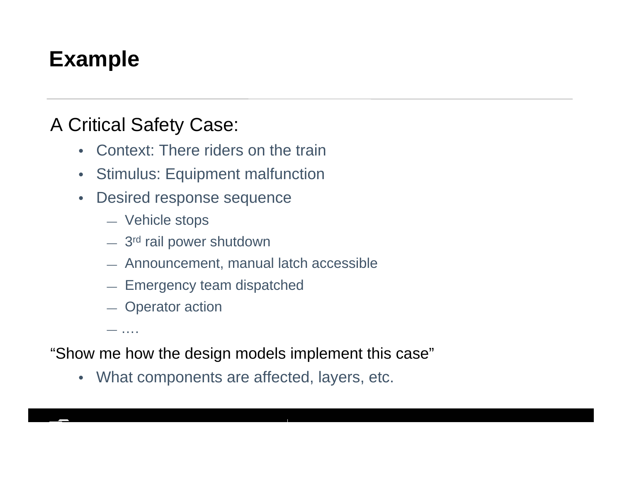# **Example**

## A Critical Safety Case:

- Context: There riders on the train
- $\bullet$ Stimulus: Equipment malfunction
- $\bullet$  Desired response sequence
	- Vehicle stops
	- $-$  3<sup>rd</sup> rail power shutdown
	- Announcement, manual latch accessible
	- Emergency team dispatched
	- Operator action

—….

"Show me how the design models implement this case"

• What components are affected, layers, etc.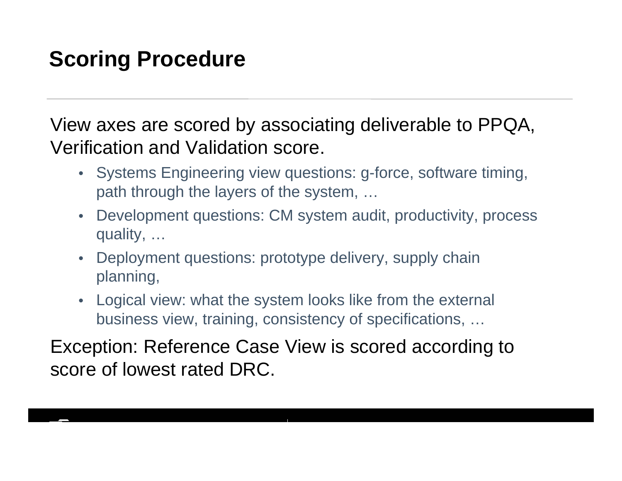# **Scoring Procedure**

View axes are scored by associating deliverable to PPQA, Verification and Validation score.

- Systems Engineering view questions: g-force, software timing, path through the layers of the system, …
- Development questions: CM system audit, productivity, process quality, …
- Deployment questions: prototype delivery, supply chain planning,
- $\bullet$  Logical view: what the system looks like from the external business view, training, consistency of specifications, …

Exception: Reference Case View is scored according to score of lowest rated DRC.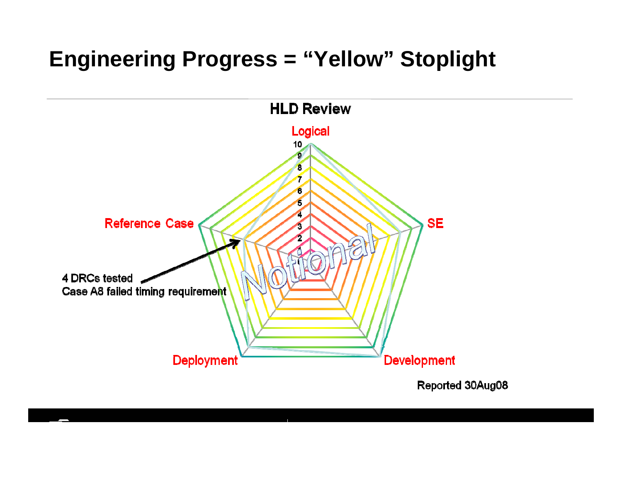# **Engineering Progress = "Yellow" Stoplight**

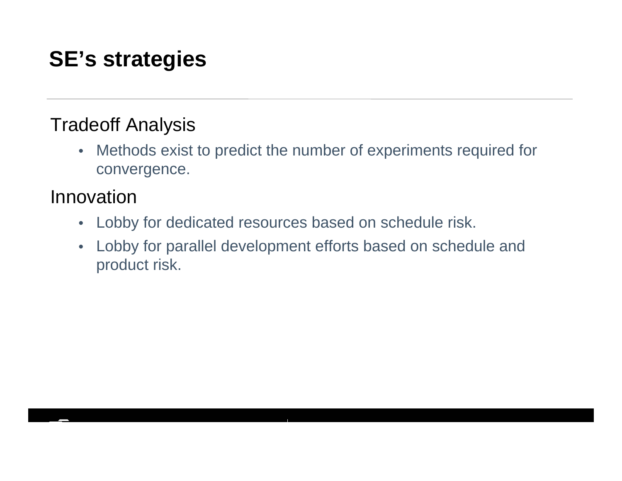# **SE's strategies**

## Tradeoff Analysis

 $\bullet$  Methods exist to predict the number of experiments required for convergence.

#### Innovation

- Lobby for dedicated resources based on schedule risk.
- $\bullet$  Lobby for parallel development efforts based on schedule and product risk.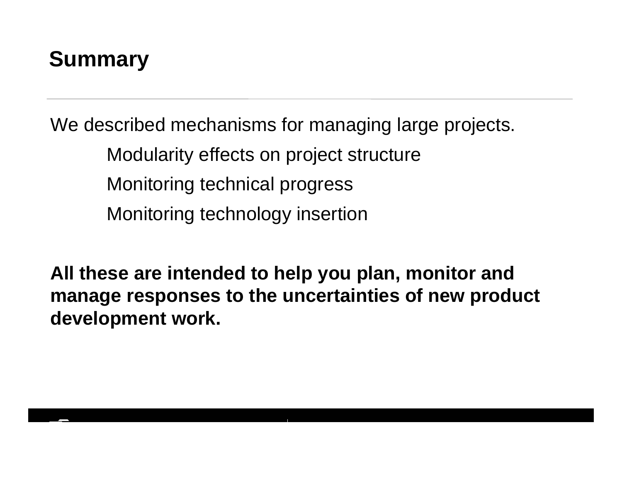

We described mechanisms for managing large projects. Modularity effects on project structure Monitoring technical progress Monitoring technology insertion

**All these are intended to help you plan, monitor and manage responses to the uncertainties of new product development work.**